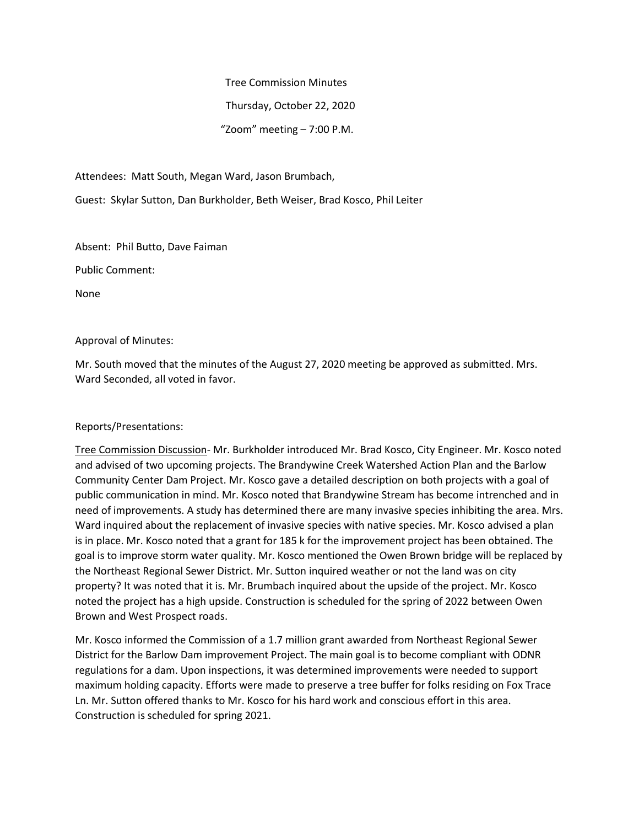Tree Commission Minutes

Thursday, October 22, 2020

"Zoom" meeting – 7:00 P.M.

Attendees: Matt South, Megan Ward, Jason Brumbach,

Guest: Skylar Sutton, Dan Burkholder, Beth Weiser, Brad Kosco, Phil Leiter

Absent: Phil Butto, Dave Faiman

Public Comment:

None

### Approval of Minutes:

Mr. South moved that the minutes of the August 27, 2020 meeting be approved as submitted. Mrs. Ward Seconded, all voted in favor.

## Reports/Presentations:

Tree Commission Discussion- Mr. Burkholder introduced Mr. Brad Kosco, City Engineer. Mr. Kosco noted and advised of two upcoming projects. The Brandywine Creek Watershed Action Plan and the Barlow Community Center Dam Project. Mr. Kosco gave a detailed description on both projects with a goal of public communication in mind. Mr. Kosco noted that Brandywine Stream has become intrenched and in need of improvements. A study has determined there are many invasive species inhibiting the area. Mrs. Ward inquired about the replacement of invasive species with native species. Mr. Kosco advised a plan is in place. Mr. Kosco noted that a grant for 185 k for the improvement project has been obtained. The goal is to improve storm water quality. Mr. Kosco mentioned the Owen Brown bridge will be replaced by the Northeast Regional Sewer District. Mr. Sutton inquired weather or not the land was on city property? It was noted that it is. Mr. Brumbach inquired about the upside of the project. Mr. Kosco noted the project has a high upside. Construction is scheduled for the spring of 2022 between Owen Brown and West Prospect roads.

Mr. Kosco informed the Commission of a 1.7 million grant awarded from Northeast Regional Sewer District for the Barlow Dam improvement Project. The main goal is to become compliant with ODNR regulations for a dam. Upon inspections, it was determined improvements were needed to support maximum holding capacity. Efforts were made to preserve a tree buffer for folks residing on Fox Trace Ln. Mr. Sutton offered thanks to Mr. Kosco for his hard work and conscious effort in this area. Construction is scheduled for spring 2021.